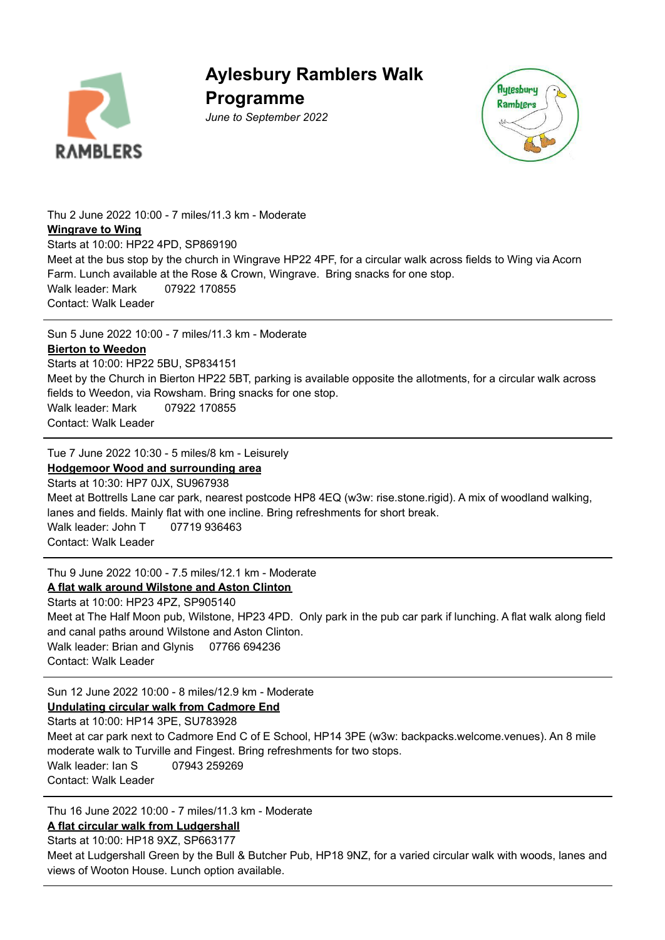

**Aylesbury Ramblers Walk Programme**

*June to September 2022*



Thu 2 June 2022 10:00 - 7 miles/11.3 km - Moderate **[Wingrave](https://www.ramblers.org.uk/go-walking/find-a-walk-or-route/walk-detail.aspx?walkID=4171316) to Wing** Starts at 10:00: HP22 4PD, SP869190 Meet at the bus stop by the church in Wingrave HP22 4PF, for a circular walk across fields to Wing via Acorn Farm. Lunch available at the Rose & Crown, Wingrave. Bring snacks for one stop. Walk leader: Mark 07922 170855 Contact: Walk Leader

Sun 5 June 2022 10:00 - 7 miles/11.3 km - Moderate

### **Bierton to [Weedon](https://www.ramblers.org.uk/go-walking/find-a-walk-or-route/walk-detail.aspx?walkID=4171317)**

Starts at 10:00: HP22 5BU, SP834151 Meet by the Church in Bierton HP22 5BT, parking is available opposite the allotments, for a circular walk across fields to Weedon, via Rowsham. Bring snacks for one stop. Walk leader: Mark 07922 170855 Contact: Walk Leader

Tue 7 June 2022 10:30 - 5 miles/8 km - Leisurely

**Hodgemoor Wood and [surrounding](https://www.ramblers.org.uk/go-walking/find-a-walk-or-route/walk-detail.aspx?walkID=4171318) area** Starts at 10:30: HP7 0JX, SU967938 Meet at Bottrells Lane car park, nearest postcode HP8 4EQ (w3w: rise.stone.rigid). A mix of woodland walking, lanes and fields. Mainly flat with one incline. Bring refreshments for short break. Walk leader: John T 07719 936463 Contact: Walk Leader

Thu 9 June 2022 10:00 - 7.5 miles/12.1 km - Moderate

### **A flat walk around [Wilstone](https://www.ramblers.org.uk/go-walking/find-a-walk-or-route/walk-detail.aspx?walkID=4171319) and Aston Clinton**

Starts at 10:00: HP23 4PZ, SP905140 Meet at The Half Moon pub, Wilstone, HP23 4PD. Only park in the pub car park if lunching. A flat walk along field and canal paths around Wilstone and Aston Clinton. Walk leader: Brian and Glynis 07766 694236 Contact: Walk Leader

Sun 12 June 2022 10:00 - 8 miles/12.9 km - Moderate

**[Undulating](https://www.ramblers.org.uk/go-walking/find-a-walk-or-route/walk-detail.aspx?walkID=4171320) circular walk from Cadmore End**

Starts at 10:00: HP14 3PE, SU783928 Meet at car park next to Cadmore End C of E School, HP14 3PE (w3w: backpacks.welcome.venues). An 8 mile moderate walk to Turville and Fingest. Bring refreshments for two stops.

Walk leader: Ian S 07943 259269 Contact: Walk Leader

Thu 16 June 2022 10:00 - 7 miles/11.3 km - Moderate

**A flat circular walk from [Ludgershall](https://www.ramblers.org.uk/go-walking/find-a-walk-or-route/walk-detail.aspx?walkID=4171321)**

Starts at 10:00: HP18 9XZ, SP663177

Meet at Ludgershall Green by the Bull & Butcher Pub, HP18 9NZ, for a varied circular walk with woods, lanes and views of Wooton House. Lunch option available.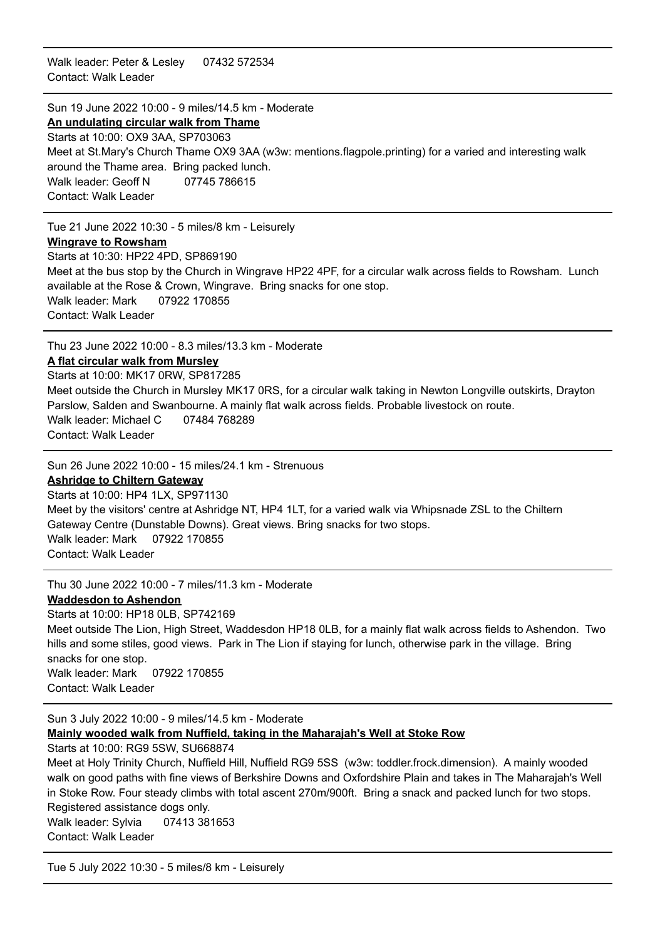Walk leader: Peter & Lesley 07432 572534 Contact: Walk Leader

### Sun 19 June 2022 10:00 - 9 miles/14.5 km - Moderate

**An [undulating](https://www.ramblers.org.uk/go-walking/find-a-walk-or-route/walk-detail.aspx?walkID=4171322) circular walk from Thame** Starts at 10:00: OX9 3AA, SP703063 Meet at St.Mary's Church Thame OX9 3AA (w3w: mentions.flagpole.printing) for a varied and interesting walk around the Thame area. Bring packed lunch. Walk leader: Geoff N 07745 786615 Contact: Walk Leader

Tue 21 June 2022 10:30 - 5 miles/8 km - Leisurely

### **Wingrave to [Rowsham](https://www.ramblers.org.uk/go-walking/find-a-walk-or-route/walk-detail.aspx?walkID=4171323)**

Starts at 10:30: HP22 4PD, SP869190 Meet at the bus stop by the Church in Wingrave HP22 4PF, for a circular walk across fields to Rowsham. Lunch available at the Rose & Crown, Wingrave. Bring snacks for one stop. Walk leader: Mark 07922 170855 Contact: Walk Leader

Thu 23 June 2022 10:00 - 8.3 miles/13.3 km - Moderate

### **A flat circular walk from [Mursley](https://www.ramblers.org.uk/go-walking/find-a-walk-or-route/walk-detail.aspx?walkID=4171324)**

Starts at 10:00: MK17 0RW, SP817285 Meet outside the Church in Mursley MK17 0RS, for a circular walk taking in Newton Longville outskirts, Drayton Parslow, Salden and Swanbourne. A mainly flat walk across fields. Probable livestock on route. Walk leader: Michael C 07484 768289 Contact: Walk Leader

Sun 26 June 2022 10:00 - 15 miles/24.1 km - Strenuous

#### **[Ashridge](https://www.ramblers.org.uk/go-walking/find-a-walk-or-route/walk-detail.aspx?walkID=4171325) to Chiltern Gateway**

Starts at 10:00: HP4 1LX, SP971130 Meet by the visitors' centre at Ashridge NT, HP4 1LT, for a varied walk via Whipsnade ZSL to the Chiltern Gateway Centre (Dunstable Downs). Great views. Bring snacks for two stops. Walk leader: Mark 07922 170855 Contact: Walk Leader

Thu 30 June 2022 10:00 - 7 miles/11.3 km - Moderate

### **[Waddesdon](https://www.ramblers.org.uk/go-walking/find-a-walk-or-route/walk-detail.aspx?walkID=4171326) to Ashendon**

Starts at 10:00: HP18 0LB, SP742169 Meet outside The Lion, High Street, Waddesdon HP18 0LB, for a mainly flat walk across fields to Ashendon. Two hills and some stiles, good views. Park in The Lion if staying for lunch, otherwise park in the village. Bring snacks for one stop. Walk leader: Mark 07922 170855 Contact: Walk Leader

Sun 3 July 2022 10:00 - 9 miles/14.5 km - Moderate

### **Mainly wooded walk from Nuffield, taking in the [Maharajah's](https://www.ramblers.org.uk/go-walking/find-a-walk-or-route/walk-detail.aspx?walkID=4171327) Well at Stoke Row**

Starts at 10:00: RG9 5SW, SU668874

Meet at Holy Trinity Church, Nuffield Hill, Nuffield RG9 5SS (w3w: toddler.frock.dimension). A mainly wooded walk on good paths with fine views of Berkshire Downs and Oxfordshire Plain and takes in The Maharajah's Well in Stoke Row. Four steady climbs with total ascent 270m/900ft. Bring a snack and packed lunch for two stops. Registered assistance dogs only. Walk leader: Sylvia 07413 381653 Contact: Walk Leader

Tue 5 July 2022 10:30 - 5 miles/8 km - Leisurely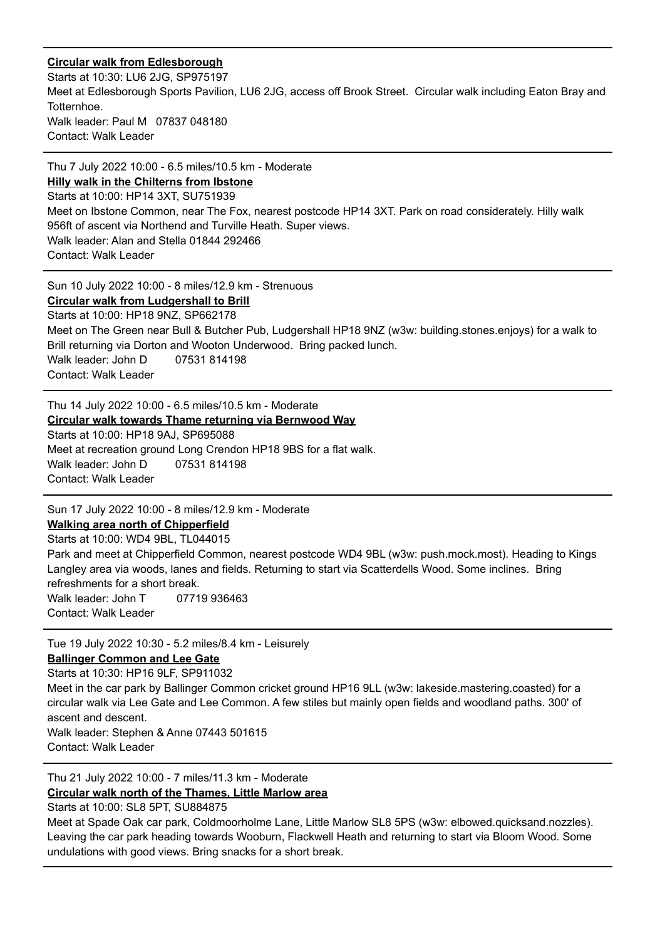### **Circular walk from [Edlesborough](https://www.ramblers.org.uk/go-walking/find-a-walk-or-route/walk-detail.aspx?walkID=4171328)**

Starts at 10:30: LU6 2JG, SP975197 Meet at Edlesborough Sports Pavilion, LU6 2JG, access off Brook Street. Circular walk including Eaton Bray and Totternhoe. Walk leader: Paul M 07837 048180 Contact: Walk Leader

Thu 7 July 2022 10:00 - 6.5 miles/10.5 km - Moderate **Hilly walk in the [Chilterns](https://www.ramblers.org.uk/go-walking/find-a-walk-or-route/walk-detail.aspx?walkID=4171329) from Ibstone** Starts at 10:00: HP14 3XT, SU751939 Meet on Ibstone Common, near The Fox, nearest postcode HP14 3XT. Park on road considerately. Hilly walk 956ft of ascent via Northend and Turville Heath. Super views. Walk leader: Alan and Stella 01844 292466 Contact: Walk Leader

Sun 10 July 2022 10:00 - 8 miles/12.9 km - Strenuous

**Circular walk from [Ludgershall](https://www.ramblers.org.uk/go-walking/find-a-walk-or-route/walk-detail.aspx?walkID=4171330) to Brill**

Starts at 10:00: HP18 9NZ, SP662178 Meet on The Green near Bull & Butcher Pub, Ludgershall HP18 9NZ (w3w: building.stones.enjoys) for a walk to Brill returning via Dorton and Wooton Underwood. Bring packed lunch. Walk leader: John D 07531 814198 Contact: Walk Leader

Thu 14 July 2022 10:00 - 6.5 miles/10.5 km - Moderate **Circular walk towards Thame returning via [Bernwood](https://www.ramblers.org.uk/go-walking/find-a-walk-or-route/walk-detail.aspx?walkID=4171331) Way** Starts at 10:00: HP18 9AJ, SP695088 Meet at recreation ground Long Crendon HP18 9BS for a flat walk. Walk leader: John D 07531 814198 Contact: Walk Leader

Sun 17 July 2022 10:00 - 8 miles/12.9 km - Moderate **Walking area north of [Chipperfield](https://www.ramblers.org.uk/go-walking/find-a-walk-or-route/walk-detail.aspx?walkID=4171332)**

Starts at 10:00: WD4 9BL, TL044015 Park and meet at Chipperfield Common, nearest postcode WD4 9BL (w3w: push.mock.most). Heading to Kings Langley area via woods, lanes and fields. Returning to start via Scatterdells Wood. Some inclines. Bring refreshments for a short break. Walk leader: John T 07719 936463 Contact: Walk Leader

Tue 19 July 2022 10:30 - 5.2 miles/8.4 km - Leisurely **Ballinger [Common](https://www.ramblers.org.uk/go-walking/find-a-walk-or-route/walk-detail.aspx?walkID=4171333) and Lee Gate** Starts at 10:30: HP16 9LF, SP911032 Meet in the car park by Ballinger Common cricket ground HP16 9LL (w3w: lakeside.mastering.coasted) for a circular walk via Lee Gate and Lee Common. A few stiles but mainly open fields and woodland paths. 300' of ascent and descent. Walk leader: Stephen & Anne 07443 501615 Contact: Walk Leader

Thu 21 July 2022 10:00 - 7 miles/11.3 km - Moderate **Circular walk north of the [Thames,](https://www.ramblers.org.uk/go-walking/find-a-walk-or-route/walk-detail.aspx?walkID=4171334) Little Marlow area** Starts at 10:00: SL8 5PT, SU884875

Meet at Spade Oak car park, Coldmoorholme Lane, Little Marlow SL8 5PS (w3w: elbowed.quicksand.nozzles). Leaving the car park heading towards Wooburn, Flackwell Heath and returning to start via Bloom Wood. Some undulations with good views. Bring snacks for a short break.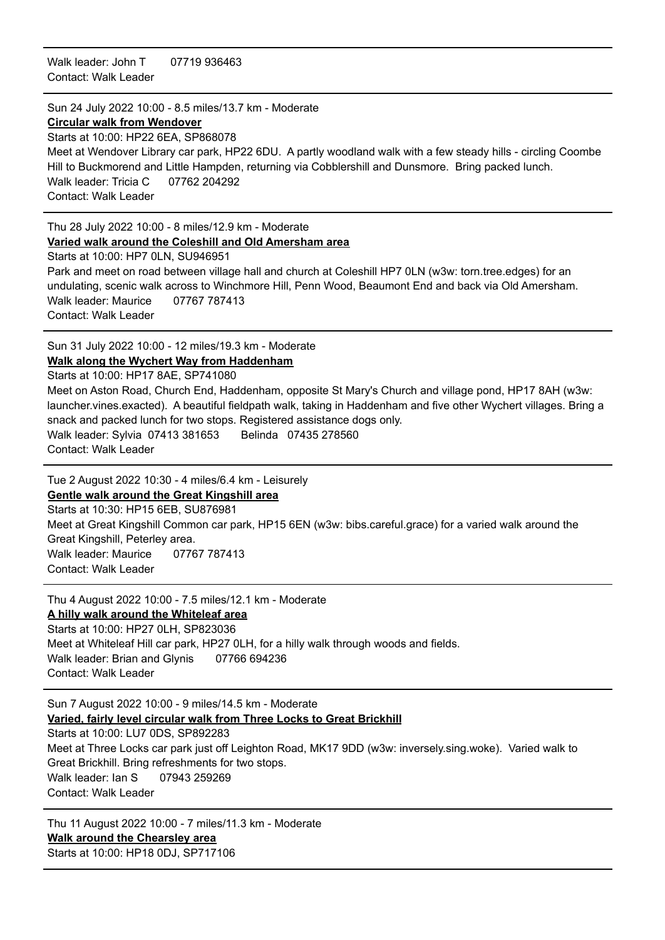Walk leader: John T 07719 936463 Contact: Walk Leader

Sun 24 July 2022 10:00 - 8.5 miles/13.7 km - Moderate

#### **Circular walk from [Wendover](https://www.ramblers.org.uk/go-walking/find-a-walk-or-route/walk-detail.aspx?walkID=4171335)**

Starts at 10:00: HP22 6EA, SP868078 Meet at Wendover Library car park, HP22 6DU. A partly woodland walk with a few steady hills - circling Coombe Hill to Buckmorend and Little Hampden, returning via Cobblershill and Dunsmore. Bring packed lunch. Walk leader: Tricia C 07762 204292 Contact: Walk Leader

#### Thu 28 July 2022 10:00 - 8 miles/12.9 km - Moderate **Varied walk around the Coleshill and Old [Amersham](https://www.ramblers.org.uk/go-walking/find-a-walk-or-route/walk-detail.aspx?walkID=4171336) area**

Starts at 10:00: HP7 0LN, SU946951

Park and meet on road between village hall and church at Coleshill HP7 0LN (w3w: torn.tree.edges) for an undulating, scenic walk across to Winchmore Hill, Penn Wood, Beaumont End and back via Old Amersham. Walk leader: Maurice 07767 787413 Contact: Walk Leader

Sun 31 July 2022 10:00 - 12 miles/19.3 km - Moderate **Walk along the Wychert Way from [Haddenham](https://www.ramblers.org.uk/go-walking/find-a-walk-or-route/walk-detail.aspx?walkID=4171337)**

Starts at 10:00: HP17 8AE, SP741080 Meet on Aston Road, Church End, Haddenham, opposite St Mary's Church and village pond, HP17 8AH (w3w: launcher.vines.exacted). A beautiful fieldpath walk, taking in Haddenham and five other Wychert villages. Bring a snack and packed lunch for two stops. Registered assistance dogs only. Walk leader: Sylvia 07413 381653 Belinda 07435 278560 Contact: Walk Leader

Tue 2 August 2022 10:30 - 4 miles/6.4 km - Leisurely **Gentle walk around the Great [Kingshill](https://www.ramblers.org.uk/go-walking/find-a-walk-or-route/walk-detail.aspx?walkID=4171338) area**

Starts at 10:30: HP15 6EB, SU876981 Meet at Great Kingshill Common car park, HP15 6EN (w3w: bibs.careful.grace) for a varied walk around the Great Kingshill, Peterley area. Walk leader: Maurice 07767 787413 Contact: Walk Leader

Thu 4 August 2022 10:00 - 7.5 miles/12.1 km - Moderate

### **A hilly walk around the [Whiteleaf](https://www.ramblers.org.uk/go-walking/find-a-walk-or-route/walk-detail.aspx?walkID=4171339) area**

Starts at 10:00: HP27 0LH, SP823036 Meet at Whiteleaf Hill car park, HP27 0LH, for a hilly walk through woods and fields. Walk leader: Brian and Glynis 07766 694236 Contact: Walk Leader

Sun 7 August 2022 10:00 - 9 miles/14.5 km - Moderate **Varied, fairly level circular walk from Three Locks to Great [Brickhill](https://www.ramblers.org.uk/go-walking/find-a-walk-or-route/walk-detail.aspx?walkID=4171340)** Starts at 10:00: LU7 0DS, SP892283 Meet at Three Locks car park just off Leighton Road, MK17 9DD (w3w: inversely.sing.woke). Varied walk to Great Brickhill. Bring refreshments for two stops. Walk leader: Ian S 07943 259269 Contact: Walk Leader

Thu 11 August 2022 10:00 - 7 miles/11.3 km - Moderate **Walk around the [Chearsley](https://www.ramblers.org.uk/go-walking/find-a-walk-or-route/walk-detail.aspx?walkID=4171341) area** Starts at 10:00: HP18 0DJ, SP717106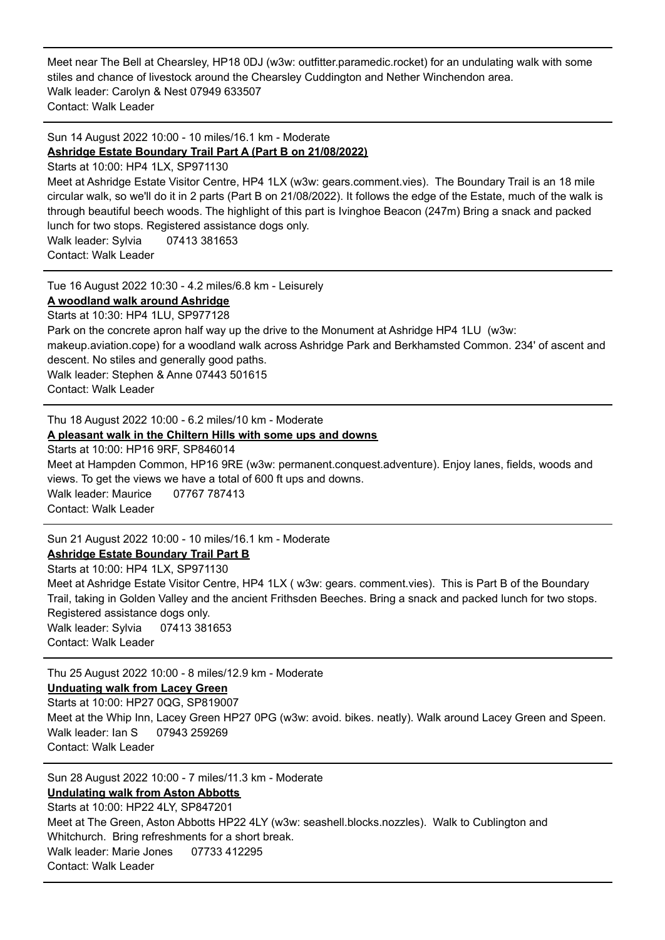Meet near The Bell at Chearsley, HP18 0DJ (w3w: outfitter.paramedic.rocket) for an undulating walk with some stiles and chance of livestock around the Chearsley Cuddington and Nether Winchendon area. Walk leader: Carolyn & Nest 07949 633507 Contact: Walk Leader

Sun 14 August 2022 10:00 - 10 miles/16.1 km - Moderate **Ashridge Estate Boundary Trail Part A (Part B on [21/08/2022\)](https://www.ramblers.org.uk/go-walking/find-a-walk-or-route/walk-detail.aspx?walkID=4171342)**

Starts at 10:00: HP4 1LX, SP971130

Meet at Ashridge Estate Visitor Centre, HP4 1LX (w3w: gears.comment.vies). The Boundary Trail is an 18 mile circular walk, so we'll do it in 2 parts (Part B on 21/08/2022). It follows the edge of the Estate, much of the walk is through beautiful beech woods. The highlight of this part is Ivinghoe Beacon (247m) Bring a snack and packed lunch for two stops. Registered assistance dogs only.

Walk leader: Sylvia 07413 381653 Contact: Walk Leader

Tue 16 August 2022 10:30 - 4.2 miles/6.8 km - Leisurely

### **A [woodland](https://www.ramblers.org.uk/go-walking/find-a-walk-or-route/walk-detail.aspx?walkID=4171343) walk around Ashridge**

Starts at 10:30: HP4 1LU, SP977128 Park on the concrete apron half way up the drive to the Monument at Ashridge HP4 1LU (w3w: makeup.aviation.cope) for a woodland walk across Ashridge Park and Berkhamsted Common. 234' of ascent and descent. No stiles and generally good paths. Walk leader: Stephen & Anne 07443 501615 Contact: Walk Leader

Thu 18 August 2022 10:00 - 6.2 miles/10 km - Moderate

### **A [pleasant](https://www.ramblers.org.uk/go-walking/find-a-walk-or-route/walk-detail.aspx?walkID=4171344) walk in the Chiltern Hills with some ups and downs**

Starts at 10:00: HP16 9RF, SP846014

Meet at Hampden Common, HP16 9RE (w3w: permanent.conquest.adventure). Enjoy lanes, fields, woods and views. To get the views we have a total of 600 ft ups and downs. Walk leader: Maurice 07767 787413

Contact: Walk Leader

Sun 21 August 2022 10:00 - 10 miles/16.1 km - Moderate

**Ashridge Estate [Boundary](https://www.ramblers.org.uk/go-walking/find-a-walk-or-route/walk-detail.aspx?walkID=4171345) Trail Part B**

Starts at 10:00: HP4 1LX, SP971130 Meet at Ashridge Estate Visitor Centre, HP4 1LX ( w3w: gears. comment.vies). This is Part B of the Boundary Trail, taking in Golden Valley and the ancient Frithsden Beeches. Bring a snack and packed lunch for two stops. Registered assistance dogs only. Walk leader: Sylvia 07413 381653 Contact: Walk Leader

Thu 25 August 2022 10:00 - 8 miles/12.9 km - Moderate

**[Unduating](https://www.ramblers.org.uk/go-walking/find-a-walk-or-route/walk-detail.aspx?walkID=4171346) walk from Lacey Green**

Starts at 10:00: HP27 0QG, SP819007 Meet at the Whip Inn, Lacey Green HP27 0PG (w3w: avoid. bikes. neatly). Walk around Lacey Green and Speen. Walk leader: Ian S 07943 259269 Contact: Walk Leader

Sun 28 August 2022 10:00 - 7 miles/11.3 km - Moderate **[Undulating](https://www.ramblers.org.uk/go-walking/find-a-walk-or-route/walk-detail.aspx?walkID=4171347) walk from Aston Abbotts** Starts at 10:00: HP22 4LY, SP847201 Meet at The Green, Aston Abbotts HP22 4LY (w3w: seashell.blocks.nozzles). Walk to Cublington and Whitchurch. Bring refreshments for a short break. Walk leader: Marie Jones 07733 412295 Contact: Walk Leader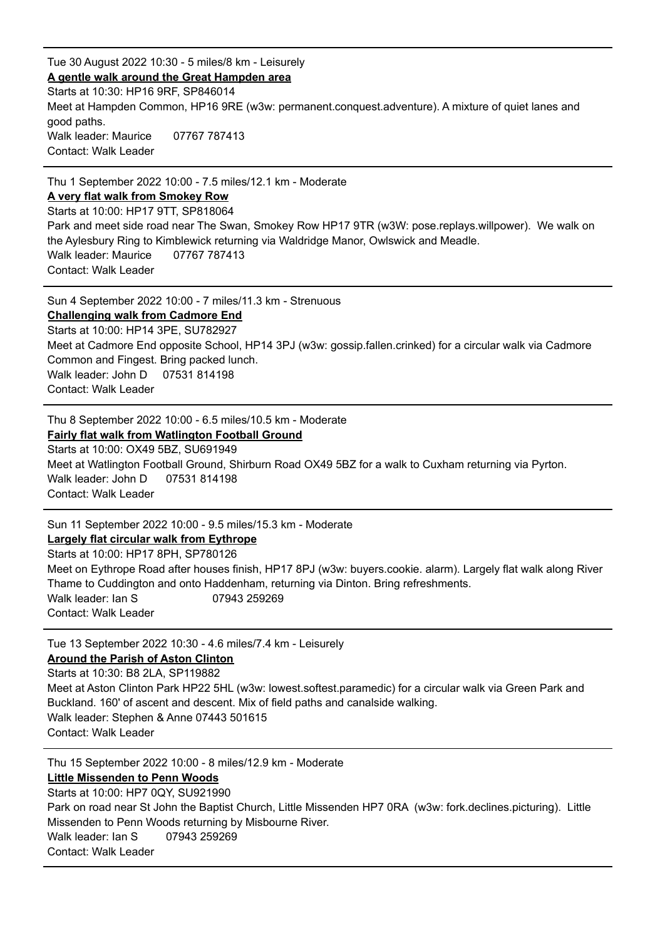Tue 30 August 2022 10:30 - 5 miles/8 km - Leisurely **A gentle walk around the Great [Hampden](https://www.ramblers.org.uk/go-walking/find-a-walk-or-route/walk-detail.aspx?walkID=4171348) area** Starts at 10:30: HP16 9RF, SP846014 Meet at Hampden Common, HP16 9RE (w3w: permanent.conquest.adventure). A mixture of quiet lanes and good paths. Walk leader: Maurice 07767 787413 Contact: Walk Leader

Thu 1 September 2022 10:00 - 7.5 miles/12.1 km - Moderate **A very flat walk from [Smokey](https://www.ramblers.org.uk/go-walking/find-a-walk-or-route/walk-detail.aspx?walkID=4171349) Row** Starts at 10:00: HP17 9TT, SP818064 Park and meet side road near The Swan, Smokey Row HP17 9TR (w3W: pose.replays.willpower). We walk on the Aylesbury Ring to Kimblewick returning via Waldridge Manor, Owlswick and Meadle. Walk leader: Maurice 07767 787413 Contact: Walk Leader

Sun 4 September 2022 10:00 - 7 miles/11.3 km - Strenuous **[Challenging](https://www.ramblers.org.uk/go-walking/find-a-walk-or-route/walk-detail.aspx?walkID=4171350) walk from Cadmore End** Starts at 10:00: HP14 3PE, SU782927 Meet at Cadmore End opposite School, HP14 3PJ (w3w: gossip.fallen.crinked) for a circular walk via Cadmore Common and Fingest. Bring packed lunch. Walk leader: John D 07531 814198 Contact: Walk Leader

Thu 8 September 2022 10:00 - 6.5 miles/10.5 km - Moderate **Fairly flat walk from [Watlington](https://www.ramblers.org.uk/go-walking/find-a-walk-or-route/walk-detail.aspx?walkID=4171351) Football Ground**

Starts at 10:00: OX49 5BZ, SU691949 Meet at Watlington Football Ground, Shirburn Road OX49 5BZ for a walk to Cuxham returning via Pyrton. Walk leader: John D 07531 814198 Contact: Walk Leader

Sun 11 September 2022 10:00 - 9.5 miles/15.3 km - Moderate **Largely flat circular walk from [Eythrope](https://www.ramblers.org.uk/go-walking/find-a-walk-or-route/walk-detail.aspx?walkID=4171352)** Starts at 10:00: HP17 8PH, SP780126 Meet on Eythrope Road after houses finish, HP17 8PJ (w3w: buyers.cookie. alarm). Largely flat walk along River Thame to Cuddington and onto Haddenham, returning via Dinton. Bring refreshments. Walk leader: Ian S 07943 259269 Contact: Walk Leader

Tue 13 September 2022 10:30 - 4.6 miles/7.4 km - Leisurely **[Around](https://www.ramblers.org.uk/go-walking/find-a-walk-or-route/walk-detail.aspx?walkID=4171353) the Parish of Aston Clinton** Starts at 10:30: B8 2LA, SP119882 Meet at Aston Clinton Park HP22 5HL (w3w: lowest.softest.paramedic) for a circular walk via Green Park and Buckland. 160' of ascent and descent. Mix of field paths and canalside walking. Walk leader: Stephen & Anne 07443 501615 Contact: Walk Leader

Thu 15 September 2022 10:00 - 8 miles/12.9 km - Moderate **Little [Missenden](https://www.ramblers.org.uk/go-walking/find-a-walk-or-route/walk-detail.aspx?walkID=4171354) to Penn Woods** Starts at 10:00: HP7 0QY, SU921990 Park on road near St John the Baptist Church, Little Missenden HP7 0RA (w3w: fork.declines.picturing). Little Missenden to Penn Woods returning by Misbourne River. Walk leader: Ian S 07943 259269 Contact: Walk Leader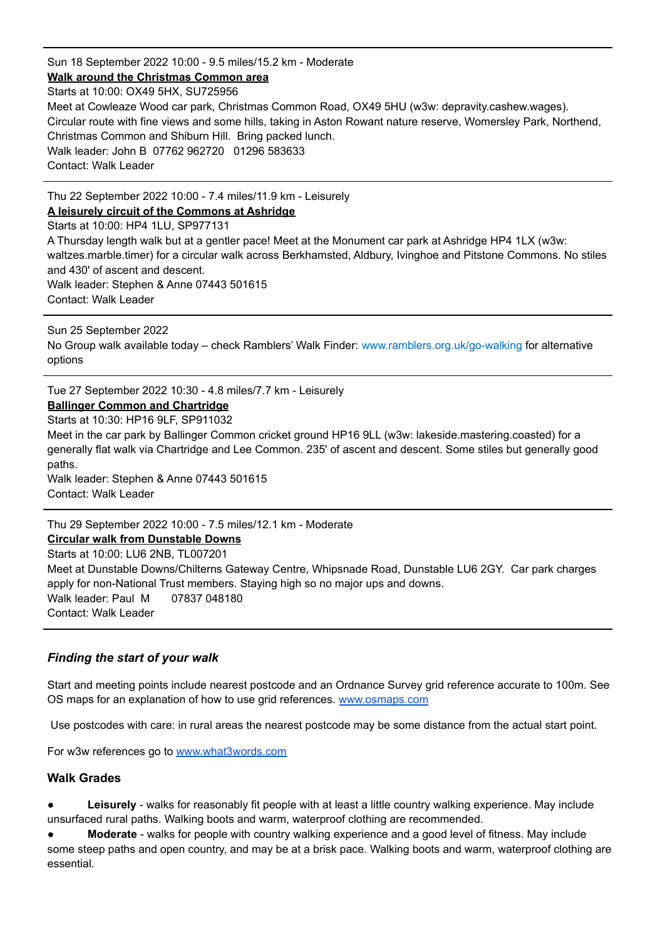Sun 18 September 2022 10:00 - 9.5 miles/15.2 km - Moderate **Walk around the [Christmas](https://www.ramblers.org.uk/go-walking/find-a-walk-or-route/walk-detail.aspx?walkID=4171355) Common area** Starts at 10:00: OX49 5HX, SU725956 Meet at Cowleaze Wood car park, Christmas Common Road, OX49 5HU (w3w: depravity.cashew.wages). Circular route with fine views and some hills, taking in Aston Rowant nature reserve, Womersley Park, Northend, Christmas Common and Shiburn Hill. Bring packed lunch. Walk leader: John B 07762 962720 01296 583633 Contact: Walk Leader

Thu 22 September 2022 10:00 - 7.4 miles/11.9 km - Leisurely

**A leisurely circuit of the [Commons](https://www.ramblers.org.uk/go-walking/find-a-walk-or-route/walk-detail.aspx?walkID=4171356) at Ashridge**

Starts at 10:00: HP4 1LU, SP977131 A Thursday length walk but at a gentler pace! Meet at the Monument car park at Ashridge HP4 1LX (w3w: waltzes.marble.timer) for a circular walk across Berkhamsted, Aldbury, Ivinghoe and Pitstone Commons. No stiles and 430' of ascent and descent. Walk leader: Stephen & Anne 07443 501615

Contact: Walk Leader

Sun 25 September 2022 No Group walk available today – check Ramblers' Walk Finder: [www.ramblers.org.uk/go-walking](http://www.ramblers.org.uk/go-walking) for alternative options

Tue 27 September 2022 10:30 - 4.8 miles/7.7 km - Leisurely

# **Ballinger Common and [Chartridge](https://www.ramblers.org.uk/go-walking/find-a-walk-or-route/walk-detail.aspx?walkID=4171357)**

Starts at 10:30: HP16 9LF, SP911032

Meet in the car park by Ballinger Common cricket ground HP16 9LL (w3w: lakeside.mastering.coasted) for a generally flat walk via Chartridge and Lee Common. 235' of ascent and descent. Some stiles but generally good paths.

Walk leader: Stephen & Anne 07443 501615 Contact: Walk Leader

Thu 29 September 2022 10:00 - 7.5 miles/12.1 km - Moderate

#### **Circular walk from [Dunstable](https://www.ramblers.org.uk/go-walking/find-a-walk-or-route/walk-detail.aspx?walkID=4171358) Downs**

Starts at 10:00: LU6 2NB, TL007201 Meet at Dunstable Downs/Chilterns Gateway Centre, Whipsnade Road, Dunstable LU6 2GY. Car park charges apply for non-National Trust members. Staying high so no major ups and downs. Walk leader: Paul M 07837 048180 Contact: Walk Leader

### *Finding the start of your walk*

Start and meeting points include nearest postcode and an Ordnance Survey grid reference accurate to 100m. See OS maps for an explanation of how to use grid references. [www.osmaps.com](http://www.osmaps.com)

Use postcodes with care: in rural areas the nearest postcode may be some distance from the actual start point.

For w3w references go to [www.what3words.com](http://www.what3words.com)

#### **Walk Grades**

- **Leisurely** walks for reasonably fit people with at least a little country walking experience. May include unsurfaced rural paths. Walking boots and warm, waterproof clothing are recommended.
- **Moderate** walks for people with country walking experience and a good level of fitness. May include some steep paths and open country, and may be at a brisk pace. Walking boots and warm, waterproof clothing are essential.